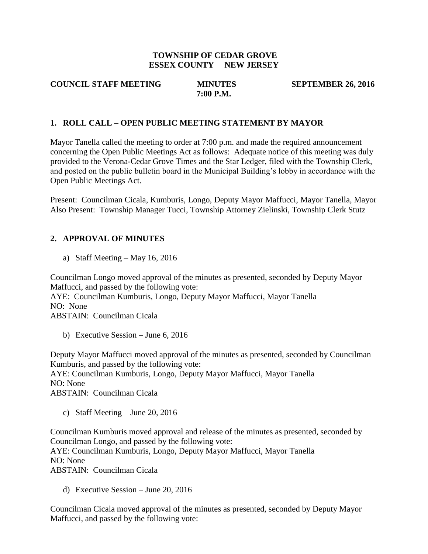### **TOWNSHIP OF CEDAR GROVE ESSEX COUNTY NEW JERSEY**

### **COUNCIL STAFF MEETING MINUTES SEPTEMBER 26, 2016 7:00 P.M.**

### **1. ROLL CALL – OPEN PUBLIC MEETING STATEMENT BY MAYOR**

Mayor Tanella called the meeting to order at 7:00 p.m. and made the required announcement concerning the Open Public Meetings Act as follows: Adequate notice of this meeting was duly provided to the Verona-Cedar Grove Times and the Star Ledger, filed with the Township Clerk, and posted on the public bulletin board in the Municipal Building's lobby in accordance with the Open Public Meetings Act.

Present: Councilman Cicala, Kumburis, Longo, Deputy Mayor Maffucci, Mayor Tanella, Mayor Also Present: Township Manager Tucci, Township Attorney Zielinski, Township Clerk Stutz

### **2. APPROVAL OF MINUTES**

a) Staff Meeting – May 16, 2016

Councilman Longo moved approval of the minutes as presented, seconded by Deputy Mayor Maffucci, and passed by the following vote: AYE: Councilman Kumburis, Longo, Deputy Mayor Maffucci, Mayor Tanella NO: None ABSTAIN: Councilman Cicala

b) Executive Session – June 6, 2016

Deputy Mayor Maffucci moved approval of the minutes as presented, seconded by Councilman Kumburis, and passed by the following vote:

AYE: Councilman Kumburis, Longo, Deputy Mayor Maffucci, Mayor Tanella NO: None

ABSTAIN: Councilman Cicala

c) Staff Meeting – June 20, 2016

Councilman Kumburis moved approval and release of the minutes as presented, seconded by Councilman Longo, and passed by the following vote: AYE: Councilman Kumburis, Longo, Deputy Mayor Maffucci, Mayor Tanella NO: None ABSTAIN: Councilman Cicala

d) Executive Session – June 20, 2016

Councilman Cicala moved approval of the minutes as presented, seconded by Deputy Mayor Maffucci, and passed by the following vote: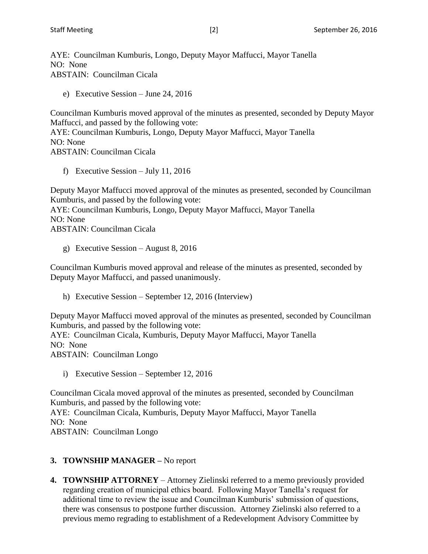AYE: Councilman Kumburis, Longo, Deputy Mayor Maffucci, Mayor Tanella NO: None ABSTAIN: Councilman Cicala

e) Executive Session – June 24, 2016

Councilman Kumburis moved approval of the minutes as presented, seconded by Deputy Mayor Maffucci, and passed by the following vote:

AYE: Councilman Kumburis, Longo, Deputy Mayor Maffucci, Mayor Tanella NO: None ABSTAIN: Councilman Cicala

f) Executive Session – July 11, 2016

Deputy Mayor Maffucci moved approval of the minutes as presented, seconded by Councilman Kumburis, and passed by the following vote: AYE: Councilman Kumburis, Longo, Deputy Mayor Maffucci, Mayor Tanella NO: None ABSTAIN: Councilman Cicala

g) Executive Session – August 8, 2016

Councilman Kumburis moved approval and release of the minutes as presented, seconded by Deputy Mayor Maffucci, and passed unanimously.

h) Executive Session – September 12, 2016 (Interview)

Deputy Mayor Maffucci moved approval of the minutes as presented, seconded by Councilman Kumburis, and passed by the following vote:

AYE: Councilman Cicala, Kumburis, Deputy Mayor Maffucci, Mayor Tanella NO: None

ABSTAIN: Councilman Longo

i) Executive Session – September 12, 2016

Councilman Cicala moved approval of the minutes as presented, seconded by Councilman Kumburis, and passed by the following vote: AYE: Councilman Cicala, Kumburis, Deputy Mayor Maffucci, Mayor Tanella NO: None ABSTAIN: Councilman Longo

# **3. TOWNSHIP MANAGER –** No report

**4. TOWNSHIP ATTORNEY** – Attorney Zielinski referred to a memo previously provided regarding creation of municipal ethics board. Following Mayor Tanella's request for additional time to review the issue and Councilman Kumburis' submission of questions, there was consensus to postpone further discussion. Attorney Zielinski also referred to a previous memo regrading to establishment of a Redevelopment Advisory Committee by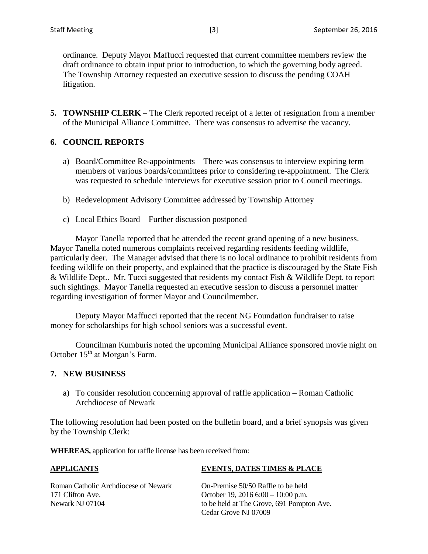ordinance. Deputy Mayor Maffucci requested that current committee members review the draft ordinance to obtain input prior to introduction, to which the governing body agreed. The Township Attorney requested an executive session to discuss the pending COAH litigation.

**5. TOWNSHIP CLERK** – The Clerk reported receipt of a letter of resignation from a member of the Municipal Alliance Committee. There was consensus to advertise the vacancy.

# **6. COUNCIL REPORTS**

- a) Board/Committee Re-appointments There was consensus to interview expiring term members of various boards/committees prior to considering re-appointment. The Clerk was requested to schedule interviews for executive session prior to Council meetings.
- b) Redevelopment Advisory Committee addressed by Township Attorney
- c) Local Ethics Board Further discussion postponed

Mayor Tanella reported that he attended the recent grand opening of a new business. Mayor Tanella noted numerous complaints received regarding residents feeding wildlife, particularly deer. The Manager advised that there is no local ordinance to prohibit residents from feeding wildlife on their property, and explained that the practice is discouraged by the State Fish & Wildlife Dept.. Mr. Tucci suggested that residents my contact Fish & Wildlife Dept. to report such sightings. Mayor Tanella requested an executive session to discuss a personnel matter regarding investigation of former Mayor and Councilmember.

Deputy Mayor Maffucci reported that the recent NG Foundation fundraiser to raise money for scholarships for high school seniors was a successful event.

Councilman Kumburis noted the upcoming Municipal Alliance sponsored movie night on October 15<sup>th</sup> at Morgan's Farm.

### **7. NEW BUSINESS**

a) To consider resolution concerning approval of raffle application – Roman Catholic Archdiocese of Newark

The following resolution had been posted on the bulletin board, and a brief synopsis was given by the Township Clerk:

**WHEREAS,** application for raffle license has been received from:

### **APPLICANTS EVENTS, DATES TIMES & PLACE**

| Roman Catholic Archdiocese of Newark | On-Prem    |
|--------------------------------------|------------|
| 171 Clifton Ave.                     | October    |
| Newark NJ 07104                      | to be held |
|                                      | ___        |

nise 50/50 Raffle to be held 19, 2016  $6:00 - 10:00$  p.m. d at The Grove, 691 Pompton Ave. Cedar Grove NJ 07009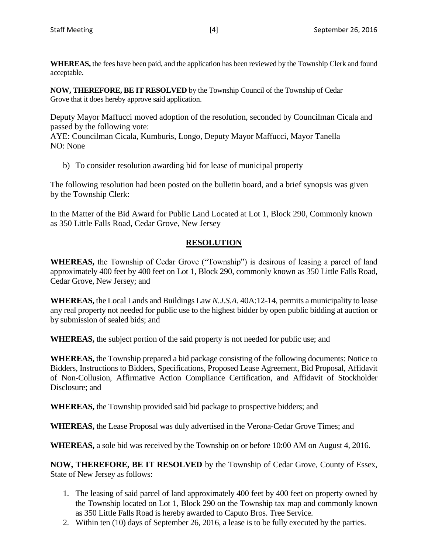**WHEREAS,** the fees have been paid, and the application has been reviewed by the Township Clerk and found acceptable.

**NOW, THEREFORE, BE IT RESOLVED** by the Township Council of the Township of Cedar Grove that it does hereby approve said application.

Deputy Mayor Maffucci moved adoption of the resolution, seconded by Councilman Cicala and passed by the following vote:

AYE: Councilman Cicala, Kumburis, Longo, Deputy Mayor Maffucci, Mayor Tanella NO: None

b) To consider resolution awarding bid for lease of municipal property

The following resolution had been posted on the bulletin board, and a brief synopsis was given by the Township Clerk:

In the Matter of the Bid Award for Public Land Located at Lot 1, Block 290, Commonly known as 350 Little Falls Road, Cedar Grove, New Jersey

# **RESOLUTION**

**WHEREAS,** the Township of Cedar Grove ("Township") is desirous of leasing a parcel of land approximately 400 feet by 400 feet on Lot 1, Block 290, commonly known as 350 Little Falls Road, Cedar Grove, New Jersey; and

**WHEREAS,** the Local Lands and Buildings Law *N.J.S.A.* 40A:12-14, permits a municipality to lease any real property not needed for public use to the highest bidder by open public bidding at auction or by submission of sealed bids; and

**WHEREAS,** the subject portion of the said property is not needed for public use; and

**WHEREAS,** the Township prepared a bid package consisting of the following documents: Notice to Bidders, Instructions to Bidders, Specifications, Proposed Lease Agreement, Bid Proposal, Affidavit of Non-Collusion, Affirmative Action Compliance Certification, and Affidavit of Stockholder Disclosure; and

**WHEREAS,** the Township provided said bid package to prospective bidders; and

**WHEREAS,** the Lease Proposal was duly advertised in the Verona-Cedar Grove Times; and

**WHEREAS,** a sole bid was received by the Township on or before 10:00 AM on August 4, 2016.

**NOW, THEREFORE, BE IT RESOLVED** by the Township of Cedar Grove, County of Essex, State of New Jersey as follows:

- 1. The leasing of said parcel of land approximately 400 feet by 400 feet on property owned by the Township located on Lot 1, Block 290 on the Township tax map and commonly known as 350 Little Falls Road is hereby awarded to Caputo Bros. Tree Service.
- 2. Within ten (10) days of September 26, 2016, a lease is to be fully executed by the parties.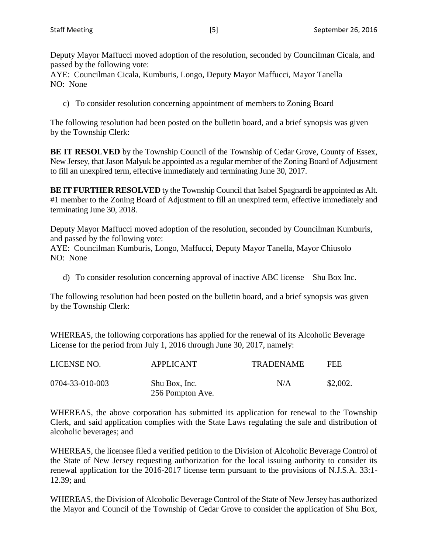Deputy Mayor Maffucci moved adoption of the resolution, seconded by Councilman Cicala, and passed by the following vote:

AYE: Councilman Cicala, Kumburis, Longo, Deputy Mayor Maffucci, Mayor Tanella NO: None

c) To consider resolution concerning appointment of members to Zoning Board

The following resolution had been posted on the bulletin board, and a brief synopsis was given by the Township Clerk:

**BE IT RESOLVED** by the Township Council of the Township of Cedar Grove, County of Essex, New Jersey, that Jason Malyuk be appointed as a regular member of the Zoning Board of Adjustment to fill an unexpired term, effective immediately and terminating June 30, 2017.

**BE IT FURTHER RESOLVED** ty the Township Council that Isabel Spagnardi be appointed as Alt. #1 member to the Zoning Board of Adjustment to fill an unexpired term, effective immediately and terminating June 30, 2018.

Deputy Mayor Maffucci moved adoption of the resolution, seconded by Councilman Kumburis, and passed by the following vote:

AYE: Councilman Kumburis, Longo, Maffucci, Deputy Mayor Tanella, Mayor Chiusolo NO: None

d) To consider resolution concerning approval of inactive ABC license – Shu Box Inc.

The following resolution had been posted on the bulletin board, and a brief synopsis was given by the Township Clerk:

WHEREAS, the following corporations has applied for the renewal of its Alcoholic Beverage License for the period from July 1, 2016 through June 30, 2017, namely:

| LICENSE NO.     | <b>APPLICANT</b>                  | <b>TRADENAME</b> | FEE      |
|-----------------|-----------------------------------|------------------|----------|
| 0704-33-010-003 | Shu Box, Inc.<br>256 Pompton Ave. | N/A              | \$2,002. |

WHEREAS, the above corporation has submitted its application for renewal to the Township Clerk, and said application complies with the State Laws regulating the sale and distribution of alcoholic beverages; and

WHEREAS, the licensee filed a verified petition to the Division of Alcoholic Beverage Control of the State of New Jersey requesting authorization for the local issuing authority to consider its renewal application for the 2016-2017 license term pursuant to the provisions of N.J.S.A. 33:1- 12.39; and

WHEREAS, the Division of Alcoholic Beverage Control of the State of New Jersey has authorized the Mayor and Council of the Township of Cedar Grove to consider the application of Shu Box,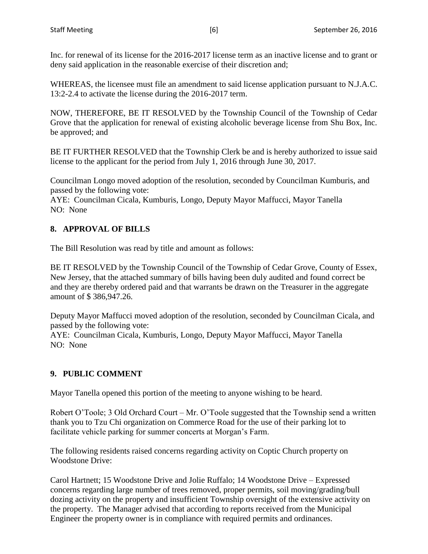Inc. for renewal of its license for the 2016-2017 license term as an inactive license and to grant or deny said application in the reasonable exercise of their discretion and;

WHEREAS, the licensee must file an amendment to said license application pursuant to N.J.A.C. 13:2-2.4 to activate the license during the 2016-2017 term.

NOW, THEREFORE, BE IT RESOLVED by the Township Council of the Township of Cedar Grove that the application for renewal of existing alcoholic beverage license from Shu Box, Inc. be approved; and

BE IT FURTHER RESOLVED that the Township Clerk be and is hereby authorized to issue said license to the applicant for the period from July 1, 2016 through June 30, 2017.

Councilman Longo moved adoption of the resolution, seconded by Councilman Kumburis, and passed by the following vote:

AYE: Councilman Cicala, Kumburis, Longo, Deputy Mayor Maffucci, Mayor Tanella NO: None

# **8. APPROVAL OF BILLS**

The Bill Resolution was read by title and amount as follows:

BE IT RESOLVED by the Township Council of the Township of Cedar Grove, County of Essex, New Jersey, that the attached summary of bills having been duly audited and found correct be and they are thereby ordered paid and that warrants be drawn on the Treasurer in the aggregate amount of \$ 386,947.26.

Deputy Mayor Maffucci moved adoption of the resolution, seconded by Councilman Cicala, and passed by the following vote:

AYE: Councilman Cicala, Kumburis, Longo, Deputy Mayor Maffucci, Mayor Tanella NO: None

# **9. PUBLIC COMMENT**

Mayor Tanella opened this portion of the meeting to anyone wishing to be heard.

Robert O'Toole; 3 Old Orchard Court – Mr. O'Toole suggested that the Township send a written thank you to Tzu Chi organization on Commerce Road for the use of their parking lot to facilitate vehicle parking for summer concerts at Morgan's Farm.

The following residents raised concerns regarding activity on Coptic Church property on Woodstone Drive:

Carol Hartnett; 15 Woodstone Drive and Jolie Ruffalo; 14 Woodstone Drive – Expressed concerns regarding large number of trees removed, proper permits, soil moving/grading/bull dozing activity on the property and insufficient Township oversight of the extensive activity on the property. The Manager advised that according to reports received from the Municipal Engineer the property owner is in compliance with required permits and ordinances.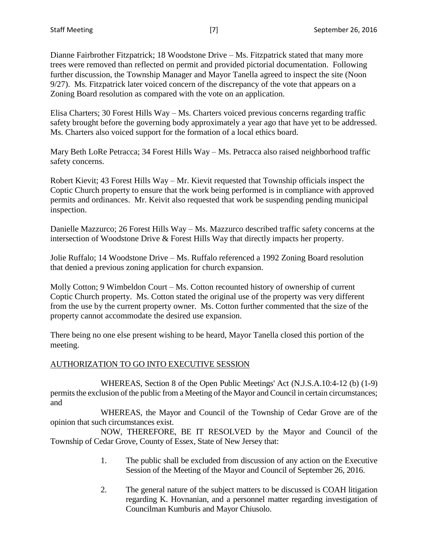Dianne Fairbrother Fitzpatrick; 18 Woodstone Drive – Ms. Fitzpatrick stated that many more trees were removed than reflected on permit and provided pictorial documentation. Following further discussion, the Township Manager and Mayor Tanella agreed to inspect the site (Noon 9/27). Ms. Fitzpatrick later voiced concern of the discrepancy of the vote that appears on a Zoning Board resolution as compared with the vote on an application.

Elisa Charters; 30 Forest Hills Way – Ms. Charters voiced previous concerns regarding traffic safety brought before the governing body approximately a year ago that have yet to be addressed. Ms. Charters also voiced support for the formation of a local ethics board.

Mary Beth LoRe Petracca; 34 Forest Hills Way – Ms. Petracca also raised neighborhood traffic safety concerns.

Robert Kievit; 43 Forest Hills Way – Mr. Kievit requested that Township officials inspect the Coptic Church property to ensure that the work being performed is in compliance with approved permits and ordinances. Mr. Keivit also requested that work be suspending pending municipal inspection.

Danielle Mazzurco; 26 Forest Hills Way – Ms. Mazzurco described traffic safety concerns at the intersection of Woodstone Drive & Forest Hills Way that directly impacts her property.

Jolie Ruffalo; 14 Woodstone Drive – Ms. Ruffalo referenced a 1992 Zoning Board resolution that denied a previous zoning application for church expansion.

Molly Cotton; 9 Wimbeldon Court – Ms. Cotton recounted history of ownership of current Coptic Church property. Ms. Cotton stated the original use of the property was very different from the use by the current property owner. Ms. Cotton further commented that the size of the property cannot accommodate the desired use expansion.

There being no one else present wishing to be heard, Mayor Tanella closed this portion of the meeting.

# AUTHORIZATION TO GO INTO EXECUTIVE SESSION

WHEREAS, Section 8 of the Open Public Meetings' Act (N.J.S.A.10:4-12 (b) (1-9) permits the exclusion of the public from a Meeting of the Mayor and Council in certain circumstances; and

WHEREAS, the Mayor and Council of the Township of Cedar Grove are of the opinion that such circumstances exist.

NOW, THEREFORE, BE IT RESOLVED by the Mayor and Council of the Township of Cedar Grove, County of Essex, State of New Jersey that:

- 1. The public shall be excluded from discussion of any action on the Executive Session of the Meeting of the Mayor and Council of September 26, 2016.
- 2. The general nature of the subject matters to be discussed is COAH litigation regarding K. Hovnanian, and a personnel matter regarding investigation of Councilman Kumburis and Mayor Chiusolo.